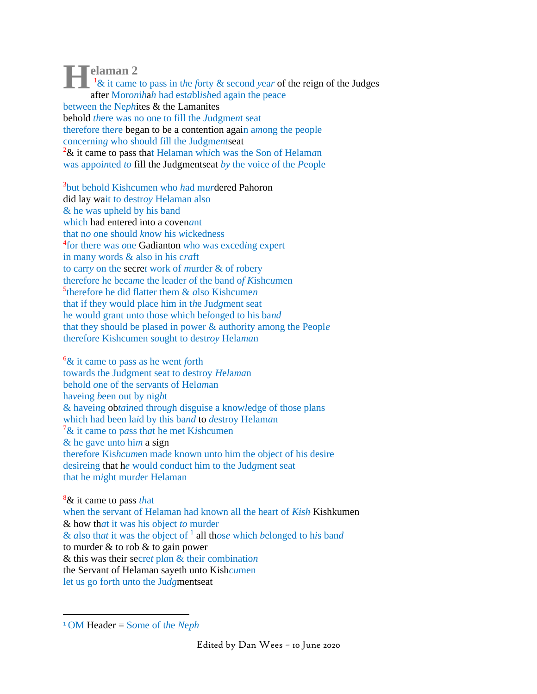**elaman 2**<br> **Exercise 1&**<br> **Exercise Mores** <sup>1</sup>& it came to pass in t*h*e *f*orty & second *y*ea*r* of the reign of the Judges after Mor*on*i*h*a*h* had est*a*bl*i*s*h*ed again the peace between the Ne*ph*ites & the Lamanites behold *th*ere was no one to fill the *J*udgme*n*t seat therefore the*r*e began to be a contention again a*m*ong the people concernin*g* who should fill the Judgm*ent*seat <sup>2</sup>& it came to pass that Helaman wh*i*ch was the Son of Helam*a*n was appoi*n*ted *to* fill the Judgmentseat *by* the voice *o*f the *P*eople

3 but behold Kishcumen who *h*ad m*ur*dered Pahoron did lay wait to destr*oy* Helaman also & he was upheld by his band which had entered into a coven*a*nt that n*o o*ne should *kn*ow his *w*ickedness 4 for there was *o*ne Gadianton *w*ho was exced*i*ng expert in many words & also in his c*ra*ft to carr*y* on the secre*t* work of *m*urder & of robery therefore he beca*m*e the leader *o*f the band o*f K*ishc*u*men 5 th*e*refore he did flatter them & *a*lso Kishcume*n* that if they would place him in t*h*e Ju*dg*ment seat he would grant unto those which be*l*onged to his ba*nd* that they should be plased in power & authority among the Peopl*e* therefore Kishcumen s*o*ught to d*e*str*oy* Hela*ma*n

<sup>6</sup>& it came to pass as he went *f*orth towards the Judgment seat to destroy *H*e*l*a*ma*n behold *o*ne of the ser*v*ants of Hel*am*an ha*v*eing *b*een out by nig*h*t & havei*n*g ob*ta*i*n*ed throu*g*h disguise a know*l*edge of those plans which had been la*i*d by this ba*nd* to *d*estroy Helam*a*n <sup>7</sup>& it came to p*a*ss th*a*t he met K*i*shcumen & he gave unto hi*m* a sign therefore Kis*hcum*en mad*e* known unto him the object of his desire desireing that h*e* would co*n*duct him to the Jud*g*ment seat that he m*i*ght mur*d*er Helaman

<sup>8</sup>& it came to pass *th*at when the servant of Helaman had known all the heart of *Kish* Kishkumen & how th*a*t it was his object *to* murder & *a*lso th*at* it was th*e* object of <sup>1</sup> all th*o*s*e* which *b*elonged to h*i*s ban*d* to murder & to rob & to gain power & this was their secre*t* pl*a*n & their combinatio*n* the Servant of Helaman sayeth unto Kish*cu*men let us go fo*r*th u*n*to the Ju*dg*mentseat

<sup>1</sup> OM Header = S*o*me of t*h*e *N*e*ph*